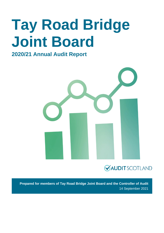# **Tay Road Bridge Joint Board**

### **2020/21 Annual Audit Report**



### **VAUDITSCOTLAND**

**Prepared for members of Tay Road Bridge Joint Board and the Controller of Audit** 14 September 2021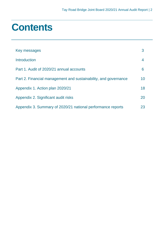## **Contents**

| Key messages                                                    |    |
|-----------------------------------------------------------------|----|
| Introduction                                                    | 4  |
| Part 1. Audit of 2020/21 annual accounts                        | 6  |
| Part 2. Financial management and sustainability, and governance | 10 |
| Appendix 1. Action plan 2020/21                                 | 18 |
| Appendix 2. Significant audit risks                             | 20 |
| Appendix 3. Summary of 2020/21 national performance reports     | 23 |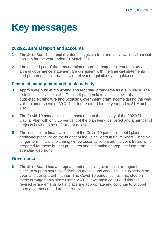# <span id="page-2-0"></span>**Key messages**

#### **2020/21 annual report and accounts**

- **1** The Joint Board's financial statements give a true and fair view of its financial position for the year ended 31 March 2021.
- **2** The audited part of the remuneration report, management commentary and annual governance statement are consistent with the financial statements and prepared in accordance with relevant regulations and guidance.

#### **Financial management and sustainability**

- **3** Appropriate budget monitoring and reporting arrangements are in place. The reduced activity due to the Covid-19 pandemic resulted in lower than budgeted expenditure and Scottish Government grant income during the year with an underspend of £0.014 million reported for the year ended 31 March 2021.
- **4** The Covid-19 pandemic also impacted upon the delivery of the 2020/21 Capital Plan with only 55 per cent of the plan being delivered and a number of projects having to be deferred or delayed.
- **5** The longer-term financial impact of the Covid-19 pandemic could place additional pressure on the budget of the Joint Board in future years. Effective longer-term financial planning will be essential to ensure the Joint Board is prepared for these budget pressures and can make appropriate long-term spending decisions.

#### **Governance**

**6** The Joint Board has appropriate and effective governance arrangements in place to support scrutiny of decision-making and conducts its business in an open and transparent manner. The Covid-19 pandemic has impacted on these arrangements since March 2020 but we have concluded that the revised arrangements put in place are appropriate and continue to support good governance and transparency.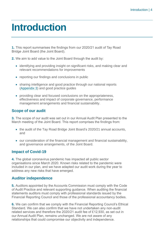## <span id="page-3-0"></span>**Introduction**

**1.** This report summarises the findings from our 2020/21 audit of Tay Road Bridge Joint Board (the Joint Board).

**2.** We aim to add value to the Joint Board through the audit by:

- identifying and providing insight on significant risks, and making clear and relevant recommendations for improvements
- reporting our findings and conclusions in public
- sharing intelligence and good practice through our national reports [\(Appendix 3\)](#page-22-0) and good practice guides
- providing clear and focused conclusions on the appropriateness, effectiveness and impact of corporate governance, performance management arrangements and financial sustainability.

#### **Scope of our audit**

**3.** The scope of our audit was set out in our Annual Audit Plan presented to the March meeting of the Joint Board. This report comprises the findings from:

- the audit of the Tay Road Bridge Joint Board's 2020/21 annual accounts, and
- our consideration of the financial management and financial sustainability, and governance arrangements, of the Joint Board.

#### **Impact of Covid-19**

**4.** The global coronavirus pandemic has impacted all public sector organisations since March 2020. Known risks related to the pandemic were included in our plan, and we have adapted our audit work during the year to address any new risks that have emerged.

#### **Auditor independence**

**5.** Auditors appointed by the Accounts Commission must comply with the Code of Audit Practice and relevant supporting guidance. When auditing the financial statements auditors must comply with professional standards issued by the Financial Reporting Council and those of the professional accountancy bodies.

**6.** We can confirm that we comply with the Financial Reporting Council's Ethical Standard. We can also confirm that we have not undertaken any non-audit related services and therefore the 2020/21 audit fee of £12,930, as set out in our Annual Audit Plan, remains unchanged. We are not aware of any relationships that could compromise our objectivity and independence.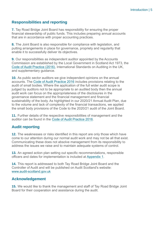#### **Responsibilities and reporting**

**7.** Tay Road Bridge Joint Board has responsibility for ensuring the proper financial stewardship of public funds. This includes preparing annual accounts that are in accordance with proper accounting practices.

**8.** The Joint Board is also responsible for compliance with legislation, and putting arrangements in place for governance, propriety and regularity that enable it to successfully deliver its objectives.

**9.** Our responsibilities as independent auditor appointed by the Accounts Commission are established by the Local Government in Scotland Act 1973, the [Code of Audit Practice \(2016\),](http://www.audit-scotland.gov.uk/report/code-of-audit-practice-2016) International Standards on Auditing in the UK, and supplementary guidance.

**10.** As public sector auditors we give independent opinions on the annual accounts. The [Code of Audit Practice 2016](http://www.audit-scotland.gov.uk/report/code-of-audit-practice-2016) includes provisions relating to the audit of small bodies. Where the application of the full wider audit scope is judged by auditors not to be appropriate to an audited body then the annual audit work can focus on the appropriateness of the disclosures in the governance statement and the financial management and financial sustainability of the body. As highlighted in our 2020/21 Annual Audit Plan, due to the volume and lack of complexity of the financial transactions, we applied the small body provisions of the Code to the 2020/21 audit of the Joint Board.

**11.** Further details of the respective responsibilities of management and the auditor can be found in the [Code of Audit Practice 2016.](http://www.audit-scotland.gov.uk/report/code-of-audit-practice-2016)

#### **Audit reporting**

**12.** The weaknesses or risks identified in this report are only those which have come to our attention during our normal audit work and may not be all that exist. Communicating these does not absolve management from its responsibility to address the issues we raise and to maintain adequate systems of control.

**13.** An agreed action plan setting out specific recommendations, responsible officers and dates for implementation is included at [Appendix 1.](#page-17-0)

**14.** This report is addressed to both Tay Road Bridge Joint Board and the Controller of Audit and will be published on Audit Scotland's website: [www.audit-scotland.gov.uk](http://www.audit-scotland.gov.uk/)

#### **Acknowledgement**

**15.** We would like to thank the management and staff of Tay Road Bridge Joint Board for their cooperation and assistance during the audit.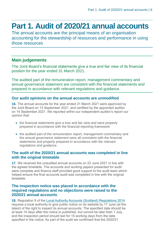## <span id="page-5-0"></span>**Part 1. Audit of 2020/21 annual accounts**

The annual accounts are the principal means of an organisation accounting for the stewardship of resources and performance in using those resources

#### **Main judgements**

The Joint Board's financial statements give a true and fair view of its financial position for the year ended 31 March 2021.

The audited part of the remuneration report, management commentary and annual governance statement are consistent with the financial statements and prepared in accordance with relevant regulations and guidance.

#### **Our audit opinions on the annual accounts are unmodified**

**16.** The annual accounts for the year ended 31 March 2021 were approved by the Joint Board on 13 September 2021, and certified by the appointed auditor on 14 September 2021. We reported within our independent auditor's report our opinion that:

- the financial statements give a true and fair view and were properly prepared in accordance with the financial reporting framework
- the audited part of the remuneration report, management commentary and the annual governance statement were all consistent with the financial statements and properly prepared in accordance with the relevant regulations and guidance.

#### **The audit of the 2020/21 annual accounts was completed in line with the original timetable**

**17.** We received the unaudited annual accounts on 22 June 2021 in line with the agreed timetable. The accounts and working papers presented for audit were complete and finance staff provided good support to the audit team which helped ensure the final accounts audit was completed in line with the original timetable.

#### **The inspection notice was placed in accordance with the required regulations and no objections were raised to the 2020/21 annual accounts**

**18.** Regulation 9 of the [Local Authority Accounts \(Scotland\) Regulations 2014](https://www.legislation.gov.uk/ssi/2014/200/pdfs/ssi_20140200_en.pdf) requires a local authority to give public notice on its website by 17 June (at the latest) of the right to inspect its annual accounts. The specified date should be at least 14 days after the notice is published, but cannot be later than 1 July, and the inspection period should last for 15 working days from the date specified in the notice. As part of the audit we confirmed that the 2020/21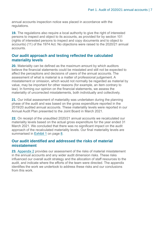annual accounts inspection notice was placed in accordance with the regulations.

**19.** The regulations also require a local authority to give the right of interested persons to inspect and object to its accounts, as provided for by section 101 (rights of interested persons to inspect and copy documents and to object to accounts) (11) of the 1974 Act. No objections were raised to the 2020/21 annual accounts.

#### **Our audit approach and testing reflected the calculated materiality levels**

**20.** Materiality can be defined as the maximum amount by which auditors believe the financial statements could be misstated and still not be expected to affect the perceptions and decisions of users of the annual accounts. The assessment of what is material is a matter of professional judgement. A misstatement or omission, which would not normally be regarded as material by value, may be important for other reasons (for example, an item contrary to law). In forming our opinion on the financial statements, we assess the materiality of uncorrected misstatements, both individually and collectively.

**21.** Our initial assessment of materiality was undertaken during the planning phase of the audit and was based on the gross expenditure reported in the 2019/20 audited annual accounts. These materiality levels were reported in our Annual Audit Plan presented to the Joint Board in March 2021.

**22.** On receipt of the unaudited 2020/21 annual accounts we recalculated our materiality levels based on the actual gross expenditure for the year ended 31 March 2021. We concluded that there was no significant impact on the audit approach of the recalculated materiality levels. Our final materiality levels are summarised in [Exhibit](#page-7-0) 1 on page [8.](#page-7-0)

#### **Our audit identified and addressed the risks of material misstatement**

**23.** [Appendix 2](#page-19-0) provides our assessment of the risks of material misstatement in the annual accounts and any wider audit dimension risks. These risks influenced our overall audit strategy and the allocation of staff resources to the audit, and indicate where the efforts of the team were directed. The appendix identifies the work we undertook to address these risks and our conclusions from this work.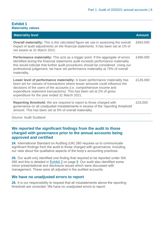#### <span id="page-7-0"></span>**Exhibit 1 Materiality values**

| <b>Materiality level</b>                                                                                                                                                                                                                                                                                                                                               | <b>Amount</b> |
|------------------------------------------------------------------------------------------------------------------------------------------------------------------------------------------------------------------------------------------------------------------------------------------------------------------------------------------------------------------------|---------------|
| <b>Overall materiality:</b> This is the calculated figure we use in assessing the overall<br>impact of audit adjustments on the financial statements. It has been set at 1% of<br>net assets at 31 March 2021.                                                                                                                                                         | £654,000      |
| <b>Performance materiality:</b> This acts as a trigger point. If the aggregate of errors<br>identified during the financial statements audit exceeds performance materiality<br>this would indicate that further audit procedures should be considered. Using our<br>professional judgement, we have set performance materiality at 75% of overall<br>materiality.     | £490,000      |
| <b>Lower level of performance materiality:</b> A lower performance materiality has<br>been set for classes of transactions where lesser amounts could influence the<br>decisions of the users of the accounts (i.e. comprehensive income and<br>expenditure statement transactions). This has been set at 2% of gross<br>expenditure for the year ended 31 March 2021. | £126,000      |
| <b>Reporting threshold:</b> We are required to report to those charged with<br>governance on all unadjusted misstatements in excess of the 'reporting threshold'<br>amount. This has been set at 5% of overall materiality.                                                                                                                                            | £33,000       |
|                                                                                                                                                                                                                                                                                                                                                                        |               |

Source: Audit Scotland

#### **We reported the significant findings from the audit to those charged with governance prior to the annual accounts being approved and certified**

**24.** International Standard on Auditing (UK) 260 requires us to communicate significant findings from the audit to those charged with governance, including our view about the qualitative aspects of the body's accounting practices.

**25.** Our audit only identified one finding that required to be reported under ISA 260 and this is detailed in [Exhibit](#page-8-0) 2 on page [9.](#page-8-0) Our audit also identified some minor presentational and disclosure issues which were discussed with management. These were all adjusted in the audited accounts.

#### **We have no unadjusted errors to report**

**26.** It is our responsibility to request that all misstatements above the reporting threshold are corrected. We have no unadjusted errors to report.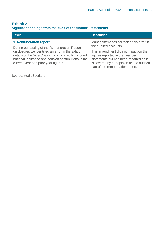### <span id="page-8-0"></span>**Exhibit 2**

#### **Significant findings from the audit of the financial statements**

| <b>Issue</b>                                                                                                                                                                                            | <b>Resolution</b>                                                                                                                                                                                   |  |
|---------------------------------------------------------------------------------------------------------------------------------------------------------------------------------------------------------|-----------------------------------------------------------------------------------------------------------------------------------------------------------------------------------------------------|--|
| <b>1. Remuneration report</b><br>During our testing of the Remuneration Report                                                                                                                          | Management has corrected this error in<br>the audited accounts.                                                                                                                                     |  |
| disclosures we identified an error in the salary<br>details of the Vice-Chair which incorrectly included<br>national insurance and pension contributions in the<br>current year and prior year figures. | This amendment did not impact on the<br>figures reported in the financial<br>statements but has been reported as it<br>is covered by our opinion on the audited<br>part of the remuneration report. |  |
| Source: Audit Scotland                                                                                                                                                                                  |                                                                                                                                                                                                     |  |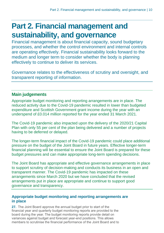## <span id="page-9-0"></span>**Part 2. Financial management and sustainability, and governance**

Financial management is about financial capacity, sound budgetary processes, and whether the control environment and internal controls are operating effectively. Financial sustainability looks forward to the medium and longer term to consider whether the body is planning effectively to continue to deliver its services.

Governance relates to the effectiveness of scrutiny and oversight, and transparent reporting of information.

### **Main judgements**

Appropriate budget monitoring and reporting arrangements are in place. The reduced activity due to the Covid-19 pandemic resulted in lower than budgeted expenditure and Scottish Government grant income during the year with an underspend of £0.014 million reported for the year ended 31 March 2021.

The Covid-19 pandemic also impacted upon the delivery of the 2020/21 Capital Plan with only 55 per cent of the plan being delivered and a number of projects having to be deferred or delayed.

The longer-term financial impact of the Covid-19 pandemic could place additional pressure on the budget of the Joint Board in future years. Effective longer-term financial planning will be essential to ensure the Joint Board is prepared for these budget pressures and can make appropriate long-term spending decisions.

The Joint Board has appropriate and effective governance arrangements in place to support scrutiny of decision-making and conducts its business in an open and transparent manner. The Covid-19 pandemic has impacted on these arrangements since March 2020 but we have concluded that the revised arrangements put in place are appropriate and continue to support good governance and transparency.

#### **Appropriate budget monitoring and reporting arrangements are in place**

**27.** The Joint Board approve the annual budget prior to start of the financial year and quarterly budget monitoring reports are provided to the board during the year. The budget monitoring reports provide detail on variances against budget and forecast year-end positions. This allows members to scrutinise the financial performance of the Joint Board and to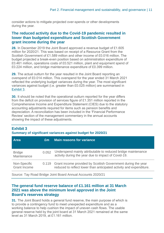consider actions to mitigate projected over-spends or other developments during the year.

#### **The reduced activity due to the Covid-19 pandemic resulted in lower than budgeted expenditure and Scottish Government grant income during the year**

**28.** In December 2019 the Joint Board approved a revenue budget of £1.605 million for 2020/21. This was based on receipt of a Resource Grant from the Scottish Government of £1.589 million and other income of £0.016 million. The budget projected a break-even position based on administration expenditure of £0.461 million, operations costs of £0.521 million, plant and equipment spend of £0.224 million, and bridge maintenance expenditure of £0.399 million.

**29.** The actual outturn for the year resulted in the Joint Board reporting an overspend of £0.014 million. This overspend for the year ended 31 March 2021 reflected the underlying budget variances during the year. The most significant variances against budget (i.e. greater than £0.025 million) are summarised in Exhibit 3.

**30.** It should be noted that the operational outturn reported for the year differs from the deficit on provision of services figure of £1.351 million reported in the Comprehensive Income and Expenditure Statement (CIES) due to the statutory accounting adjustments required for items such as pension benefits and depreciation. A reconciliation has been included in the 'Financial Performance Review' section of the management commentary in the annual accounts showing the impact of these adjustments.

| <b>Area</b>                         | £m    | <b>Main reasons for variance</b>                                                                                                    |
|-------------------------------------|-------|-------------------------------------------------------------------------------------------------------------------------------------|
| <b>Bridge</b><br>Maintenance        | 0.052 | Underspend mainly attributable to reduced bridge maintenance<br>activity during the year due to impact of Covid-19.                 |
| Non-Specific<br><b>Grant Income</b> | 0.119 | Grant income provided by Scottish Government during the year<br>reduced to reflect lower than anticipated activity and expenditure. |

### **Exhibit 3**

**Summary of significant variances against budget for 2020/21**

Source: Tay Road Bridge Joint Board Annual Accounts 2020/21

#### **The general fund reserve balance of £1.161 million at 31 March 2021 was above the minimum level approved in the Joint Board's reserves strategy**

**31.** The Joint Board holds a general fund reserve, the main purpose of which is to provide a contingency fund to meet unexpected expenditure and as a working balance to help cushion the impact of uneven cash flows. The usable general reserve held by the joint board at 31 March 2021 remained at the same level as 31 March 2019, at £1.161 million.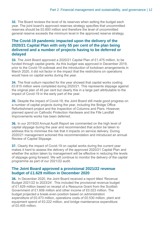**32.** The Board reviews the level of its reserves when setting the budget each year. The joint board's approved reserves strategy specifies that uncommitted reserves should be £0.800 million and therefore the level of uncommitted general reserve exceeds the minimum level in the approved reserve strategy.

#### **The Covid-19 pandemic impacted upon the delivery of the 2020/21 Capital Plan with only 55 per cent of the plan being delivered and a number of projects having to be deferred or delayed**

<span id="page-11-0"></span>**33.** The Joint Board approved a 2020/21 Capital Plan of £1.475 million, to be funded through capital grants. As this budget was approved in December 2019, prior to the Covid-19 outbreak and the introduction of lockdown arrangements in March 2020, it did not factor in the impact that the restrictions on operations would have on capital works during the year.

**34.** The final outturn reported for the year showed that capital works costing £0.815 million were completed during 2020/21. This represents slippage against the original plan of 45 per cent but clearly this in a large part attributable to the impact of Covid-19 in the early part of the year.

**35.** Despite the impact of Covid-19, the Joint Board still made good progress on a number of capital projects during the year, including the Bridge Office Refurbishment project and the Inspection of Columns and Piers. However, planned spend on Cathodic Protection Hardware and the Fife Landfall Improvements works has been deferred.

<span id="page-11-1"></span>**36.** In our 2019/20 Annual Audit Report we commented on the high level of capital slippage during the year and recommended that action be taken to address this to minimise the risk that it impacts on service delivery. During 2020/21 management actioned this recommendation and introduced an annual Review of Capital Slippage.

**37.** Clearly the impact of Covid-19 on capital works during the current year makes it hard to assess the delivery of the approved 2020/21 Capital Plan and whether the action taken by management will be effective in reducing the levels of slippage going forward. We will continue to monitor the delivery of the capital programme as part of our 2021/22 audit.

#### **The Joint Board approved a provisional 2021/22 revenue budget of £1.629 million in December 2020**

**38.** In December 2020, the Joint Board received a report titled 'Revenue Budget 2021/22 to 2023/24'. This included the provisional revenue budget of £1.629 million based on receipt of a Resource Grant from the Scottish Government of £1.606 million and other income of £0.023 million. The budget projected a break-even position based on administration expenditure of £0.473 million, operations costs of £0.530 million, plant and equipment spend of £0.222 million, and bridge maintenance expenditure of £0.405 million.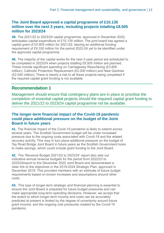#### **The Joint Board approved a capital programme of £10.135 million over the next 3 years, including projects totalling £8.505 million for 2023/24**

<span id="page-12-0"></span>**39.** The 2021/22 to 2023/24 capital programme, approved in December 2020, anticipates capital expenditure of £10.135 million. The joint board has agreed a capital grant of £0.805 million for 2021/22, leaving an additional funding requirement of £9.330 million for the period 2022-24 yet to be identified under the approved capital programme.

<span id="page-12-1"></span>**40.** The majority of the capital works for the next 3-year period are scheduled to be completed in 2023/24 when projects totalling £8.505 million are planned. These include significant spending on Carriageway Resurfacing (£3.600 million), Cathodic Protection Replacement (£2.000 million) and New Gantries (£2.000 million). There is clearly a risk to all these projects being completed if the required capital grant funding is not available.

#### **Recommendation 1**

Management should ensure that contingency plans are in place to prioritise the completion of essential capital projects should the required capital grant funding to deliver the 2021/22 to 2023/24 capital programme not be available.

#### **The longer-term financial impact of the Covid-19 pandemic could place additional pressure on the budget of the Joint Board in future years**

**41.** The financial impact of the Covid-19 pandemic is likely to extend across several years. The Scottish Government budget will be under increased pressure due to the ongoing costs associated with Covid-19 and the related recovery activity. This may in turn place additional pressure on the budget of Tay Road Bridge Joint Board in future years as the Scottish Government looks to make savings, which could include grant funding to the Joint Board.

**42.** The 'Revenue Budget 2021/22 to 2023/24' report also sets out indicative annual revenue budgets for the period from 2022/23 to 2023/24report to the December 2020 Joint Board and demonstrated a clear link to the objectives in the 2019-2024 Strategic Plan, approved in December 2018. This provided members with an estimate of future budget requirements based on known increases and assumptions around other costs.

**43.** This type of longer-term strategic and financial planning is essential to ensure the Joint Board is prepared for future budget pressures and can make appropriate long-term spending decisions. However, we accept that the extent to which longer-term income and costs can be accurately predicted at present is limited by the degree of uncertainty around future grant income, and the ongoing cost pressures created by the Covid-19 pandemic.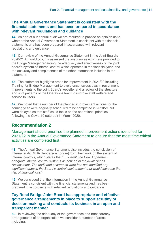#### **The Annual Governance Statement is consistent with the financial statements and has been prepared in accordance with relevant regulations and guidance**

**44.** As part of our annual audit we are required to provide an opinion as to whether the Annual Governance Statement is consistent with the financial statements and has been prepared in accordance with relevant regulations and guidance.

**45.** Our review of the Annual Governance Statement in the Joint Board's 2020/21 Annual Accounts assessed the assurances which are provided to the Bridge Manager regarding the adequacy and effectiveness of the joint board's system of internal control which operated in the financial year, and the accuracy and completeness of the other information included in the statement.

<span id="page-13-0"></span>**46.** The statement highlights areas for improvement in 2021/22 including Training for Bridge Management to avoid unconscious bias in recruitment, improvements to the Joint Board's website, and a review of the structure and shift patterns of the Operations team to improve staff welfare and service to users.

<span id="page-13-1"></span>**47.** We noted that a number of the planned improvement actions for the coming year were originally scheduled to be completed in 2020/21 but were delayed so that staff could focus on the operational priorities following the Covid-19 outbreak in March 2020.

### **Recommendation 2**

Management should prioritise the planned improvement actions identified for 2021/22 in the Annual Governance Statement to ensure that the most time critical activities are completed first.

**48.** The Annual Governance Statement also includes the conclusion of internal audit (MHA Henderson Loggie) from their work on the system of internal controls, which states that "…*overall, the Board operates adequate internal control systems as defined in the Audit Needs Assessment. The audit and assurance work has not identified any significant gaps in the Board's control environment that would increase the risk of financial loss.*"

**49.** We concluded that the information in the Annual Governance Statement is consistent with the financial statements and has been prepared in accordance with relevant regulations and guidance.

#### **Tay Road Bridge Joint Board has appropriate and effective governance arrangements in place to support scrutiny of decision-making and conducts its business in an open and transparent manner**

**50.** In reviewing the adequacy of the governance and transparency arrangements of an organisation we consider a number of areas, including: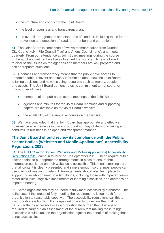- the structure and conduct of the Joint Board
- the level of openness and transparency, and
- the overall arrangements and standards of conduct, including those for the prevention and detection of fraud, error, bribery and corruption.

**51.** The Joint Board is comprised of twelve members taken from Dundee City Council (six), Fife Council (five) and Angus Council (one), and meets quarterly. From our attendance at Joint Board meetings during the course of the audit appointment we have observed that sufficient time is allowed to discuss the issues on the agendas and members are well prepared and ask appropriate questions.

**52.** Openness and transparency means that the public have access to understandable, relevant and timely information about how the Joint Board is taking decisions and how it is using resources such as money, people and assets. The Joint Board demonstrates its commitment to transparency in a number of ways:

- members of the public can attend meetings of the Joint Board
- agendas and minutes for the Joint Board meetings and supporting papers are available on the Joint Board's website
- the availability of the annual accounts on the website.

**53.** We have concluded that the Joint Board has appropriate and effective governance arrangements in place to support scrutiny of decision-making and conducts its business in an open and transparent manner.

#### **The Joint Board should review its compliance with the Public Sector Bodies (Websites and Mobile Applications) Accessibility Regulations 2018**

<span id="page-14-0"></span>**54.** The [Public Sector Bodies \(Websites and Mobile Applications\) Accessibility](https://www.legislation.gov.uk/uksi/2018/852/contents/made)  [Regulations 2018](https://www.legislation.gov.uk/uksi/2018/852/contents/made) came in to force on 23 September 2018. These require public sector bodies to put appropriate arrangements in place to ensure that information published on their websites is accessible. This means making sure that all content is clearly presented and simple enough so that most people can use it without needing to adapt it. Arrangements should also be in place to support those who do need to adapt things, including those with impaired vision, motor difficulties, cognitive impairments or learning disabilities, and deafness or impaired hearing.

<span id="page-14-1"></span>**55.** Some organisations may not need to fully meet accessibility standards. This is the case if the impact of fully meeting the requirements is too much for an organisation to reasonably cope with. The accessibility regulations call this a 'disproportionate burden'. If an organisation wants to declare that making particular things accessible is a disproportionate burden then it is legally required to carry out an assessment of the burden that making those things accessible would place on the organisation against the benefits of making those things accessible.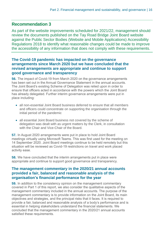#### **Recommendation 3**

As part of the website improvements scheduled for 2021/22, management should review the documents published on the Tay Road Bridge Joint Board website against the Public Sector Bodies (Website and Mobile Applications) Accessibility Regulations 2018 to identify what reasonable changes could be made to improve the accessibility of any information that does not comply with these requirements.

#### **The Covid-19 pandemic has impacted on the governance arrangements since March 2020 but we have concluded that the revised arrangements are appropriate and continue to support good governance and transparency**

**56.** The impact of Covid-19 from March 2020 on the governance arrangements has been set out in the Annual Governance Statement in the annual accounts. The Joint Board's existing Scheme of Delegation was relied upon in order to ensure that officers acted in accordance with the powers which the Joint Board has already delegated. Further interim governance arrangements were put in place including:

- all non-essential Joint Board business deferred to ensure that all members and officers could concentrate on supporting the organisation through the initial period of the pandemic
- all essential Joint Board business not covered by the scheme of delegation was dealt with as urgent matters by the Clerk, in consultation with the Chair and Vice-Chair of the Board.

**57.** In August 2020 arrangements were put in place to hold Joint Board meetings virtually using Microsoft Teams. This was first used for the meeting on 14 September 2020. Joint Board meetings continue to be held remotely but this situation will be reviewed as Covid-19 restrictions on travel and work placed activity ease.

**58.** We have concluded that the interim arrangements put in place were appropriate and continue to support good governance and transparency.

#### **The management commentary in the 2020/21 annual accounts provided a fair, balanced and reasonable analysis of the organisation's financial performance for the year**

**59.** In addition to the consistency opinion on the management commentary covered in Part 1 of this report, we also consider the qualitative aspects of the management commentary included in the annual accounts. The purpose of the management commentary is to provide information on the Joint Board, its main objectives and strategies, and the principal risks that it faces. It is required to provide a fair, balanced and reasonable analysis of a body's performance and is essential in helping stakeholders understand the financial statements. We concluded that the management commentary in the 2020/21 annual accounts satisfied these requirements.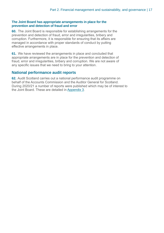#### **The Joint Board has appropriate arrangements in place for the prevention and detection of fraud and error**

**60.** The Joint Board is responsible for establishing arrangements for the prevention and detection of fraud, error and irregularities, bribery and corruption. Furthermore, it is responsible for ensuring that its affairs are managed in accordance with proper standards of conduct by putting effective arrangements in place.

**61.** We have reviewed the arrangements in place and concluded that appropriate arrangements are in place for the prevention and detection of fraud, error and irregularities, bribery and corruption. We are not aware of any specific issues that we need to bring to your attention.

#### **National performance audit reports**

**62.** Audit Scotland carries out a national performance audit programme on behalf of the Accounts Commission and the Auditor General for Scotland. During 2020/21 a number of reports were published which may be of interest to the Joint Board. These are detailed in [Appendix 3.](#page-22-0)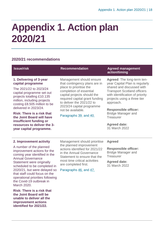# <span id="page-17-0"></span>**Appendix 1. Action plan 2020/21**

#### **2020/21 recommendations**

| <b>Issue/risk</b>                                                                                                                                                                                                                                                                                                                                     | <b>Recommendation</b>                                                                                                                                                                                                                                                                     | <b>Agreed management</b><br>action/timing                                                                                                                                                                                                                                                                             |
|-------------------------------------------------------------------------------------------------------------------------------------------------------------------------------------------------------------------------------------------------------------------------------------------------------------------------------------------------------|-------------------------------------------------------------------------------------------------------------------------------------------------------------------------------------------------------------------------------------------------------------------------------------------|-----------------------------------------------------------------------------------------------------------------------------------------------------------------------------------------------------------------------------------------------------------------------------------------------------------------------|
| 1. Delivering of 3-year<br>capital programme<br>The 2021/22 to 2023/24<br>capital programme set out<br>projects totalling £10.135<br>million, including projects<br>costing £8.505 million to be<br>delivered in 2023/24.<br><b>Risk: There is a risk that</b><br>the Joint Board will have<br>insufficient funding or<br>resources to deliver the 3- | Management should ensure<br>that contingency plans are in<br>place to prioritise the<br>completion of essential<br>capital projects should the<br>required capital grant funding<br>to deliver the 2021/22 to<br>2023/24 capital programme<br>not be available.<br>Paragraphs 39. and 40. | Agreed: The long-term ten-<br>year Capital Plan is regularly<br>shared and discussed with<br><b>Transport Scotland officers</b><br>with identification of priority<br>projects using a three tier<br>approach.<br><b>Responsible officer:</b><br><b>Bridge Manager and</b><br><b>Treasurer</b><br><b>Agreed date:</b> |
| year capital programme.                                                                                                                                                                                                                                                                                                                               |                                                                                                                                                                                                                                                                                           | 31 March 2022                                                                                                                                                                                                                                                                                                         |
| 2. Improvement activity                                                                                                                                                                                                                                                                                                                               | Management should prioritise<br>the planned improvement<br>actions identified for 2021/22<br>in the Annual Governance<br>Statement to ensure that the<br>most time critical activities<br>are completed first.                                                                            | <b>Agreed</b>                                                                                                                                                                                                                                                                                                         |
| A number of the planned<br>improvement actions for the<br>coming year identified in the<br><b>Annual Governance</b><br>Statement were originally<br>scheduled to be completed in                                                                                                                                                                      |                                                                                                                                                                                                                                                                                           | <b>Responsible officer:</b><br><b>Bridge Manager and</b><br><b>Treasurer</b>                                                                                                                                                                                                                                          |
|                                                                                                                                                                                                                                                                                                                                                       |                                                                                                                                                                                                                                                                                           | <b>Agreed date:</b><br>31 March 2022                                                                                                                                                                                                                                                                                  |
| 2020/21, but were delayed so<br>that staff could focus on the<br>operational priorities following<br>the Covid-19 outbreak in<br>March 2020.                                                                                                                                                                                                          | Paragraphs 46, and 47.                                                                                                                                                                                                                                                                    |                                                                                                                                                                                                                                                                                                                       |
| <b>Risk: There is a risk that</b>                                                                                                                                                                                                                                                                                                                     |                                                                                                                                                                                                                                                                                           |                                                                                                                                                                                                                                                                                                                       |

**the Joint Board will be unable to deliver all the improvement actions identified for 2021/22.**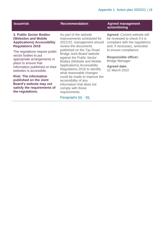#### **3. Public Sector Bodies (Websites and Mobile Applications) Accessibility Regulations 2018**

The regulations require public sector bodies to put appropriate arrangements in place to ensure that information published on their websites is accessible.

**Risk: The information published on the Joint Board's website may not satisfy the requirements of the regulations.**

As part of the website improvements scheduled for 2021/22, management should review the documents published on the Tay Road Bridge Joint Board website against the Public Sector Bodies (Website and Mobile Applications) Accessibility Regulations 2018 to identify what reasonable changes could be made to improve the accessibility of any information that does not comply with these requirements.

#### Paragraphs [54.](#page-14-0) - [55.](#page-14-1)

#### **Issue/risk Recommendation Agreed management action/timing**

**Agreed:** Current website will be reviewed to check if it is compliant with the regulations and, if necessary, amended to ensure compliance.

#### **Responsible officer:** Bridge Manager

**Agreed date:** 31 March 2022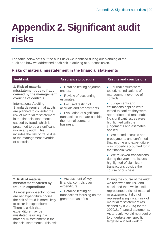# <span id="page-19-0"></span>**Appendix 2. Significant audit risks**

The table below sets out the audit risks we identified during our planning of the audit and how we addressed each risk in arriving at our conclusion.

#### **Risks of material misstatement in the financial statements**

| <b>Audit risk</b>                                                                                                                                                                                                                                                                                                                                                                                                                             | <b>Assurance procedure</b>                                                                                                                                                                                                                  | <b>Results and conclusions</b>                                                                                                                                                                                                                                                                                                                                                                                                                                                                                                                                                                         |
|-----------------------------------------------------------------------------------------------------------------------------------------------------------------------------------------------------------------------------------------------------------------------------------------------------------------------------------------------------------------------------------------------------------------------------------------------|---------------------------------------------------------------------------------------------------------------------------------------------------------------------------------------------------------------------------------------------|--------------------------------------------------------------------------------------------------------------------------------------------------------------------------------------------------------------------------------------------------------------------------------------------------------------------------------------------------------------------------------------------------------------------------------------------------------------------------------------------------------------------------------------------------------------------------------------------------------|
| 1. Risk of material<br>misstatement due to fraud<br>caused by the management<br>override of controls<br><b>International Auditing</b><br>Standards require that audits<br>are planned to consider the<br>risk of material misstatement<br>in the financial statements<br>caused by fraud, which is<br>presumed to be a significant<br>risk in any audit. This<br>includes the risk of fraud due<br>to the management override<br>of controls. | • Detailed testing of journal<br>entries.<br>• Review of accounting<br>estimates.<br>• Focused testing of<br>accruals and prepayments.<br>• Evaluation of significant<br>transactions that are outside<br>the normal course of<br>business. | • Journal entries were<br>tested, no indications of<br>management override of<br>controls.<br>• Judgements and<br>estimations applied were<br>tested to confirm they were<br>appropriate and reasonable.<br>No significant issues were<br>highlighted with the<br>judgements and estimates<br>applied.<br>• We tested accruals and<br>prepayments and confirmed<br>that income and expenditure<br>was properly accounted for in<br>the financial year.<br>• We reviewed transactions<br>during the year $-$ no issues<br>highlighted of significant<br>transactions outside the<br>course of business. |
| 2. Risk of material<br>misstatement caused by<br>fraud in expenditure<br>As most public-sector bodies<br>are net expenditure bodies,<br>the risk of fraud is more likely<br>to occur in expenditure.<br>There is a risk that                                                                                                                                                                                                                  | • Assessment of key<br>financial controls over<br>expenditure.<br>• Detailed testing of<br>transactions focusing on the<br>greater areas of risk.                                                                                           | During the course of the audit<br>we reviewed this risk and<br>concluded that, while it still<br>represented a risk of material<br>misstatement, it did not<br>represent a significant risk of<br>material misstatement (as<br>defined by ISA 315) for the<br>2020/21 financial statements.                                                                                                                                                                                                                                                                                                            |
| expenditure may be<br>misstated resulting in a<br>material misstatement in the<br>financial statements. This risk                                                                                                                                                                                                                                                                                                                             |                                                                                                                                                                                                                                             | As a result, we did not require<br>to undertake any specific<br>targeted audited work to                                                                                                                                                                                                                                                                                                                                                                                                                                                                                                               |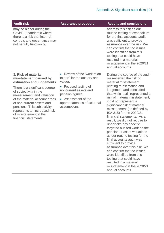| <b>Audit risk</b>                                                                                                                                | <b>Assurance procedure</b>                                                               | <b>Results and conclusions</b>                                                                                                                                                                                                                                                                                            |
|--------------------------------------------------------------------------------------------------------------------------------------------------|------------------------------------------------------------------------------------------|---------------------------------------------------------------------------------------------------------------------------------------------------------------------------------------------------------------------------------------------------------------------------------------------------------------------------|
| may be higher during the<br>Covid-19 pandemic where<br>there is a risk that internal<br>controls and governance may<br>not be fully functioning. |                                                                                          | address this risk as our<br>routine testing of expenditure<br>for the final accounts audit<br>was sufficient to provide<br>assurance over the risk. We<br>can confirm that no issues<br>were identified from this<br>testing that could have<br>resulted in a material<br>misstatement in the 2020/21<br>annual accounts. |
| 3. Risk of material<br>misstatement caused by<br>estimation and judgements                                                                       | • Review of the 'work of an<br>expert' for the actuary and<br>valuer.                    | During the course of the audit<br>we reviewed the risk of<br>material misstatement                                                                                                                                                                                                                                        |
| There is a significant degree<br>of subjectivity in the<br>measurement and valuation<br>of the material account areas                            | • Focused testing of<br>noncurrent assets and<br>pension figures.<br>• Assessment of the | relating to estimation and<br>judgement and concluded<br>that while it still represented a<br>risk of material misstatement,                                                                                                                                                                                              |

of the material account areas of non-current assets and pensions. This subjectivity represents an increased risk of misstatement in the financial statements.

appropriateness of actuarial assumptions.

it did not represent a significant risk of material misstatement (as defined by ISA 315) for the 2020/21 financial statements. As a result, we did not require to undertake any specific targeted audited work on the pension or asset valuations as our routine testing for the final accounts audit was sufficient to provide assurance over this risk. We can confirm that no issues were identified from this testing that could have resulted in a material misstatement in the 2020/21 annual accounts.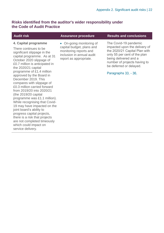#### **Risks identified from the auditor's wider responsibility under the Code of Audit Practice**

#### **4. Capital programme**

There continues to be significant slippage in the capital programme. As at 31 October 2020 slippage of £0.7 million is anticipated in the 2020/21 capital programme of £1.4 million approved by the Board in December 2019. This compares with slippage of £0.3 million carried forward from 2019/20 into 2020/21 (the 2019/20 capital programme was £1.1 million). While recognising that Covid-19 may have impacted on the joint board's ability to progress capital projects, there is a risk that projects are not completed timeously which could impact on service delivery.

• On-going monitoring of capital budget, plans and monitoring reports and inclusion in annual audit report as appropriate.

**Audit risk Assurance procedure Results and conclusions**

The Covid-19 pandemic impacted upon the delivery of the 2020/21 Capital Plan with only 55 per cent of the plan being delivered and a number of projects having to be deferred or delayed.

Paragraphs [33.](#page-11-0) - [36.](#page-11-1)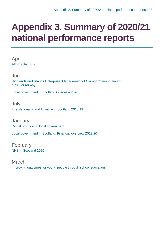# <span id="page-22-0"></span>**Appendix 3. Summary of 2020/21 national performance reports**

April [Affordable housing](https://www.audit-scotland.gov.uk/report/affordable-housing)

June [Highlands and Islands Enterprise: Management of Cairngorm mountain and](https://www.audit-scotland.gov.uk/report/highlands-and-islands-enterprise-management-of-cairngorm-mountain-and-funicular-railway)  [funicular railway](https://www.audit-scotland.gov.uk/report/highlands-and-islands-enterprise-management-of-cairngorm-mountain-and-funicular-railway)

[Local government in Scotland Overview 2020](https://www.audit-scotland.gov.uk/report/local-government-in-scotland-overview-2020)

July [The National Fraud Initiative in Scotland 2018/19](https://www.audit-scotland.gov.uk/report/the-national-fraud-initiative-in-scotland-201819)

**January** [Digital progress in local government](https://www.audit-scotland.gov.uk/report/digital-progress-in-local-government)

[Local government in Scotland: Financial overview 2019/20](https://www.audit-scotland.gov.uk/report/local-government-in-scotland-financial-overview-201920)

February [NHS in Scotland 2020](https://www.audit-scotland.gov.uk/report/nhs-in-scotland-2020)

March [Improving outcomes for young people through school education](https://www.audit-scotland.gov.uk/report/improving-outcomes-for-young-people-through-school-education)